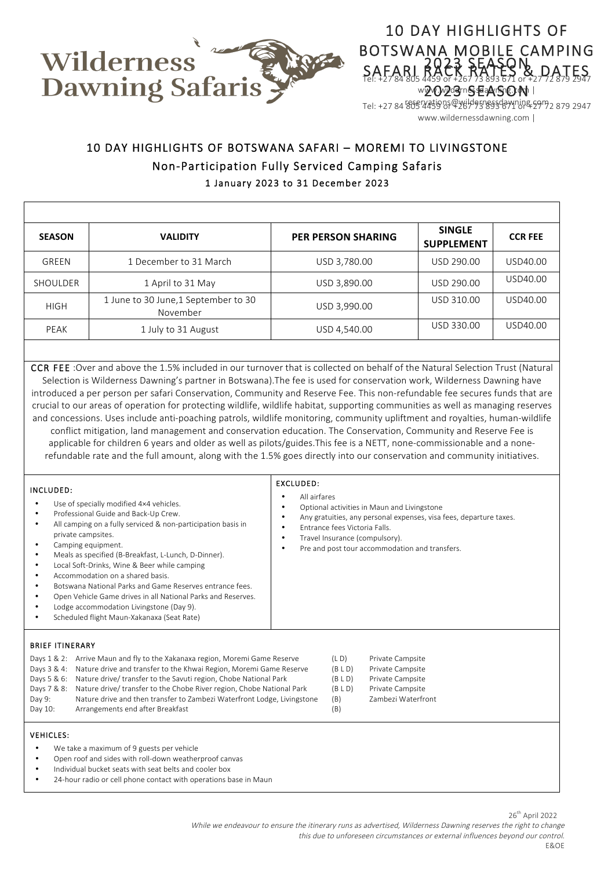

## 10 DAY HIGHLIGHTS OF BOTSWANA MOBILE CAMPING SAFARI RACK RATES & DATES 2023 SEASON Tel: +27 84 805 4459 or +267 73 893 671 or +27 72 879 2947 reservations@wildernessdawning.com **SAFARI 2023 SEASON SAFARITES** www.wildernessdawning.com |

www.wildernessdawning.com |

# 10 DAY HIGHLIGHTS OF BOTSWANA SAFARI – MOREMI TO LIVINGSTONE Non-Participation Fully Serviced Camping Safaris 1 January 2023 to 31 December 2023

| <b>SEASON</b> | <b>VALIDITY</b>                                  | <b>PER PERSON SHARING</b> | <b>SINGLE</b><br><b>SUPPLEMENT</b> | <b>CCR FEE</b> |
|---------------|--------------------------------------------------|---------------------------|------------------------------------|----------------|
| GREEN         | 1 December to 31 March                           | USD 3,780.00              | USD 290.00                         | USD40.00       |
| SHOULDER      | 1 April to 31 May                                | USD 3,890.00              | USD 290.00                         | USD40.00       |
| <b>HIGH</b>   | 1 June to 30 June, 1 September to 30<br>November | USD 3,990.00              | USD 310.00                         | USD40.00       |
| PEAK          | 1 July to 31 August                              | USD 4,540.00              | USD 330.00                         | USD40.00       |

CCR FEE :Over and above the 1.5% included in our turnover that is collected on behalf of the Natural Selection Trust (Natural Selection is Wilderness Dawning's partner in Botswana).The fee is used for conservation work, Wilderness Dawning have introduced a per person per safari Conservation, Community and Reserve Fee. This non-refundable fee secures funds that are crucial to our areas of operation for protecting wildlife, wildlife habitat, supporting communities as well as managing reserves and concessions. Uses include anti-poaching patrols, wildlife monitoring, community upliftment and royalties, human-wildlife conflict mitigation, land management and conservation education. The Conservation, Community and Reserve Fee is applicable for children 6 years and older as well as pilots/guides.This fee is a NETT, none-commissionable and a nonerefundable rate and the full amount, along with the 1.5% goes directly into our conservation and community initiatives.

| INCLUDED:<br>Use of specially modified 4×4 vehicles.<br>Professional Guide and Back-Up Crew.<br>٠<br>All camping on a fully serviced & non-participation basis in<br>private campsites.<br>Camping equipment.<br>Meals as specified (B-Breakfast, L-Lunch, D-Dinner).<br>Local Soft-Drinks, Wine & Beer while camping<br>٠<br>Accommodation on a shared basis.<br>Botswana National Parks and Game Reserves entrance fees.<br>Open Vehicle Game drives in all National Parks and Reserves.<br>Lodge accommodation Livingstone (Day 9).<br>Scheduled flight Maun-Xakanaxa (Seat Rate) | EXCLUDED:<br>All airfares<br>Optional activities in Maun and Livingstone<br>Any gratuities, any personal expenses, visa fees, departure taxes.<br>Entrance fees Victoria Falls.<br>Travel Insurance (compulsory).<br>Pre and post tour accommodation and transfers. |  |
|--------------------------------------------------------------------------------------------------------------------------------------------------------------------------------------------------------------------------------------------------------------------------------------------------------------------------------------------------------------------------------------------------------------------------------------------------------------------------------------------------------------------------------------------------------------------------------------|---------------------------------------------------------------------------------------------------------------------------------------------------------------------------------------------------------------------------------------------------------------------|--|
| <b>BRIEF ITINERARY</b><br>Arrive Maun and fly to the Xakanaxa region, Moremi Game Reserve<br>Days 1 & 2:<br>Nature drive and transfer to the Khwai Region, Moremi Game Reserve<br>Days 3 & 4:<br>Nature drive/transfer to the Savuti region, Chobe National Park<br>Days 5 & 6:<br>Nature drive/transfer to the Chobe River region, Chobe National Park<br>Days 7 & 8:                                                                                                                                                                                                               | (L D)<br>Private Campsite<br>(BLD)<br>Private Campsite<br>Private Campsite<br>(BLD)<br>Private Campsite<br>(BLD)                                                                                                                                                    |  |

Day 9: Nature drive and then transfer to Zambezi Waterfront Lodge, Livingstone (B) Zambezi Waterfront

#### VEHICLES:

- We take a maximum of 9 guests per vehicle
- Open roof and sides with roll-down weatherproof canvas
- Individual bucket seats with seat belts and cooler box
- 24-hour radio or cell phone contact with operations base in Maun

Day 10: Arrangements end after Breakfast (B)

26th April 2022 While we endeavour to ensure the itinerary runs as advertised, Wilderness Dawning reserves the right to change this due to unforeseen circumstances or external influences beyond our control. E&OE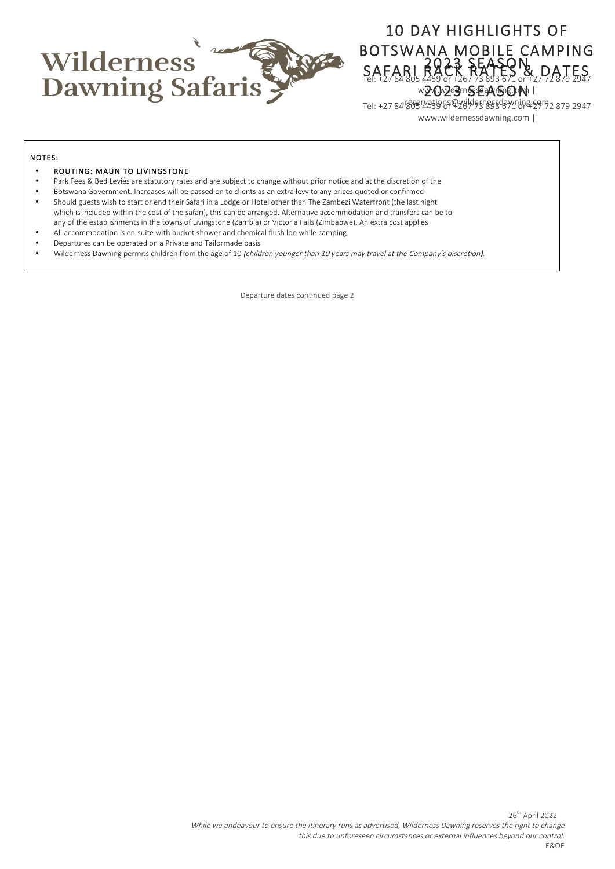

## 10 DAY HIGHLIGHTS OF BOTSWANA MOBILE CAMPING SAFARI RACK RATES & DATES **SAFARI 2023 SEASON SAFARITES** wyWwydernesseaArthep.pth |

2023 SEASON Tel: +27 84 805 4459 or +267 73 893 671 or +27 72 879 2947 reservations@wildernessdawning.com www.wildernessdawning.com |

#### NOTES:

#### • ROUTING: MAUN TO LIVINGSTONE

- Park Fees & Bed Levies are statutory rates and are subject to change without prior notice and at the discretion of the
- Botswana Government. Increases will be passed on to clients as an extra levy to any prices quoted or confirmed
- Should guests wish to start or end their Safari in a Lodge or Hotel other than The Zambezi Waterfront (the last night which is included within the cost of the safari), this can be arranged. Alternative accommodation and transfers can be to
- any of the establishments in the towns of Livingstone (Zambia) or Victoria Falls (Zimbabwe). An extra cost applies
- All accommodation is en-suite with bucket shower and chemical flush loo while camping
- Departures can be operated on a Private and Tailormade basis
- Wilderness Dawning permits children from the age of 10 (children younger than 10 years may travel at the Company's discretion).

Departure dates continued page 2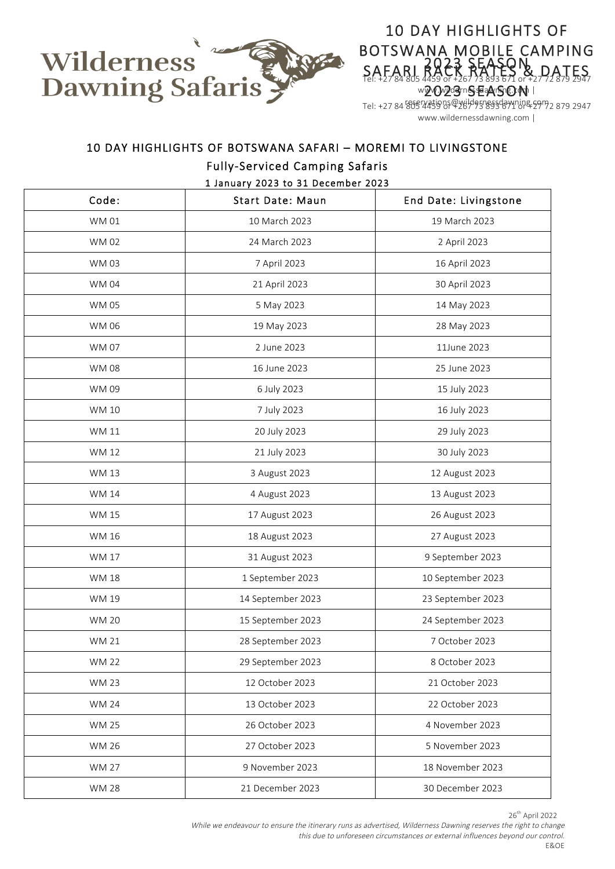

## 10 DAY HIGHLIGHTS OF BOTSWANA MOBILE CAMPING SAFARI RACK RATES & DATES 2023 SEASON Tel: +27 84 805 4459 or +267 73 893 671 or +27 72 879 2947 reservations@wildernessdawning.com **SAFARI 2023 SEASON SAFARITES** w2v0v2d3mSsEaArSnDaMhi

www.wildernessdawning.com |

# 10 DAY HIGHLIGHTS OF BOTSWANA SAFARI – MOREMI TO LIVINGSTONE

## Fully-Serviced Camping Safaris

1 January 2023 to 31 December 2023

| Code:        | <b>Start Date: Maun</b> | End Date: Livingstone |
|--------------|-------------------------|-----------------------|
| <b>WM01</b>  | 10 March 2023           | 19 March 2023         |
| <b>WM02</b>  | 24 March 2023           | 2 April 2023          |
| <b>WM03</b>  | 7 April 2023            | 16 April 2023         |
| <b>WM04</b>  | 21 April 2023           | 30 April 2023         |
| <b>WM05</b>  | 5 May 2023              | 14 May 2023           |
| <b>WM06</b>  | 19 May 2023             | 28 May 2023           |
| <b>WM07</b>  | 2 June 2023             | 11June 2023           |
| <b>WM08</b>  | 16 June 2023            | 25 June 2023          |
| WM 09        | 6 July 2023             | 15 July 2023          |
| <b>WM10</b>  | 7 July 2023             | 16 July 2023          |
| <b>WM11</b>  | 20 July 2023            | 29 July 2023          |
| WM 12        | 21 July 2023            | 30 July 2023          |
| WM 13        | 3 August 2023           | 12 August 2023        |
| <b>WM 14</b> | 4 August 2023           | 13 August 2023        |
| <b>WM 15</b> | 17 August 2023          | 26 August 2023        |
| <b>WM 16</b> | 18 August 2023          | 27 August 2023        |
| <b>WM 17</b> | 31 August 2023          | 9 September 2023      |
| <b>WM 18</b> | 1 September 2023        | 10 September 2023     |
| WM 19        | 14 September 2023       | 23 September 2023     |
| <b>WM 20</b> | 15 September 2023       | 24 September 2023     |
| <b>WM 21</b> | 28 September 2023       | 7 October 2023        |
| <b>WM 22</b> | 29 September 2023       | 8 October 2023        |
| <b>WM 23</b> | 12 October 2023         | 21 October 2023       |
| <b>WM 24</b> | 13 October 2023         | 22 October 2023       |
| <b>WM 25</b> | 26 October 2023         | 4 November 2023       |
| <b>WM 26</b> | 27 October 2023         | 5 November 2023       |
| <b>WM 27</b> | 9 November 2023         | 18 November 2023      |
| <b>WM 28</b> | 21 December 2023        | 30 December 2023      |

26<sup>th</sup> April 2022

While we endeavour to ensure the itinerary runs as advertised, Wilderness Dawning reserves the right to change this due to unforeseen circumstances or external influences beyond our control. E&OE